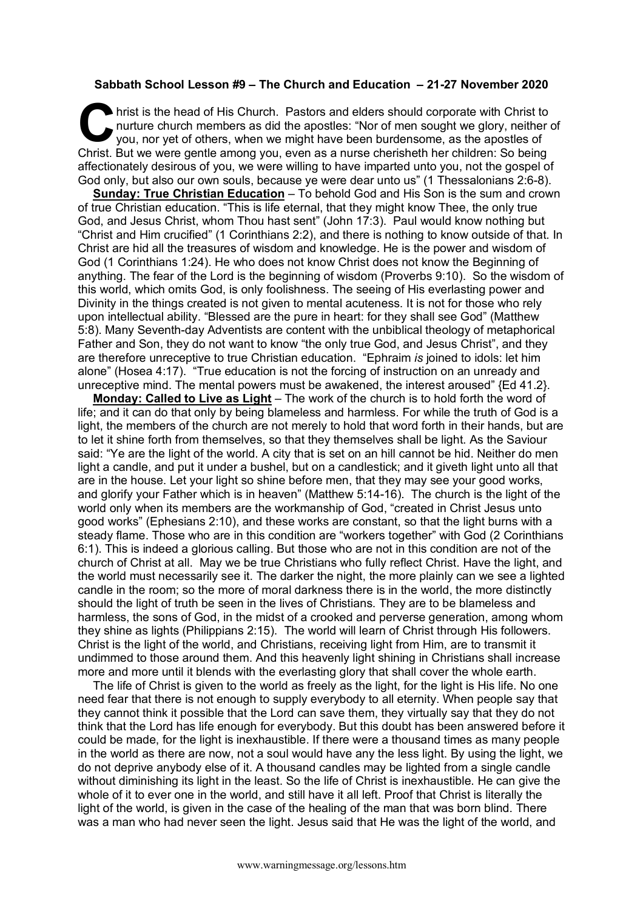## **Sabbath School Lesson #9 – The Church and Education – 21-27 November 2020**

hrist is the head of His Church. Pastors and elders should corporate with Christ to nurture church members as did the apostles: "Nor of men sought we glory, neither you, nor yet of others, when we might have been burdensom nurture church members as did the apostles: "Nor of men sought we glory, neither of you, nor yet of others, when we might have been burdensome, as the apostles of Christ. But we were gentle among you, even as a nurse cherisheth her children: So being affectionately desirous of you, we were willing to have imparted unto you, not the gospel of God only, but also our own souls, because ye were dear unto us" (1 Thessalonians 2:6-8).

**Sunday: True Christian Education** – To behold God and His Son is the sum and crown of true Christian education. "This is life eternal, that they might know Thee, the only true God, and Jesus Christ, whom Thou hast sent" (John 17:3). Paul would know nothing but "Christ and Him crucified" (1 Corinthians 2:2), and there is nothing to know outside of that. In Christ are hid all the treasures of wisdom and knowledge. He is the power and wisdom of God (1 Corinthians 1:24). He who does not know Christ does not know the Beginning of anything. The fear of the Lord is the beginning of wisdom (Proverbs 9:10). So the wisdom of this world, which omits God, is only foolishness. The seeing of His everlasting power and Divinity in the things created is not given to mental acuteness. It is not for those who rely upon intellectual ability. "Blessed are the pure in heart: for they shall see God" (Matthew 5:8). Many Seventh-day Adventists are content with the unbiblical theology of metaphorical Father and Son, they do not want to know "the only true God, and Jesus Christ", and they are therefore unreceptive to true Christian education. "Ephraim *is* joined to idols: let him alone" (Hosea 4:17). "True education is not the forcing of instruction on an unready and unreceptive mind. The mental powers must be awakened, the interest aroused" {Ed 41.2}.

**Monday: Called to Live as Light** – The work of the church is to hold forth the word of life; and it can do that only by being blameless and harmless. For while the truth of God is a light, the members of the church are not merely to hold that word forth in their hands, but are to let it shine forth from themselves, so that they themselves shall be light. As the Saviour said: "Ye are the light of the world. A city that is set on an hill cannot be hid. Neither do men light a candle, and put it under a bushel, but on a candlestick; and it giveth light unto all that are in the house. Let your light so shine before men, that they may see your good works, and glorify your Father which is in heaven" (Matthew 5:14-16). The church is the light of the world only when its members are the workmanship of God, "created in Christ Jesus unto good works" (Ephesians 2:10), and these works are constant, so that the light burns with a steady flame. Those who are in this condition are "workers together" with God (2 Corinthians 6:1). This is indeed a glorious calling. But those who are not in this condition are not of the church of Christ at all. May we be true Christians who fully reflect Christ. Have the light, and the world must necessarily see it. The darker the night, the more plainly can we see a lighted candle in the room; so the more of moral darkness there is in the world, the more distinctly should the light of truth be seen in the lives of Christians. They are to be blameless and harmless, the sons of God, in the midst of a crooked and perverse generation, among whom they shine as lights (Philippians 2:15). The world will learn of Christ through His followers. Christ is the light of the world, and Christians, receiving light from Him, are to transmit it undimmed to those around them. And this heavenly light shining in Christians shall increase more and more until it blends with the everlasting glory that shall cover the whole earth.

The life of Christ is given to the world as freely as the light, for the light is His life. No one need fear that there is not enough to supply everybody to all eternity. When people say that they cannot think it possible that the Lord can save them, they virtually say that they do not think that the Lord has life enough for everybody. But this doubt has been answered before it could be made, for the light is inexhaustible. If there were a thousand times as many people in the world as there are now, not a soul would have any the less light. By using the light, we do not deprive anybody else of it. A thousand candles may be lighted from a single candle without diminishing its light in the least. So the life of Christ is inexhaustible. He can give the whole of it to ever one in the world, and still have it all left. Proof that Christ is literally the light of the world, is given in the case of the healing of the man that was born blind. There was a man who had never seen the light. Jesus said that He was the light of the world, and